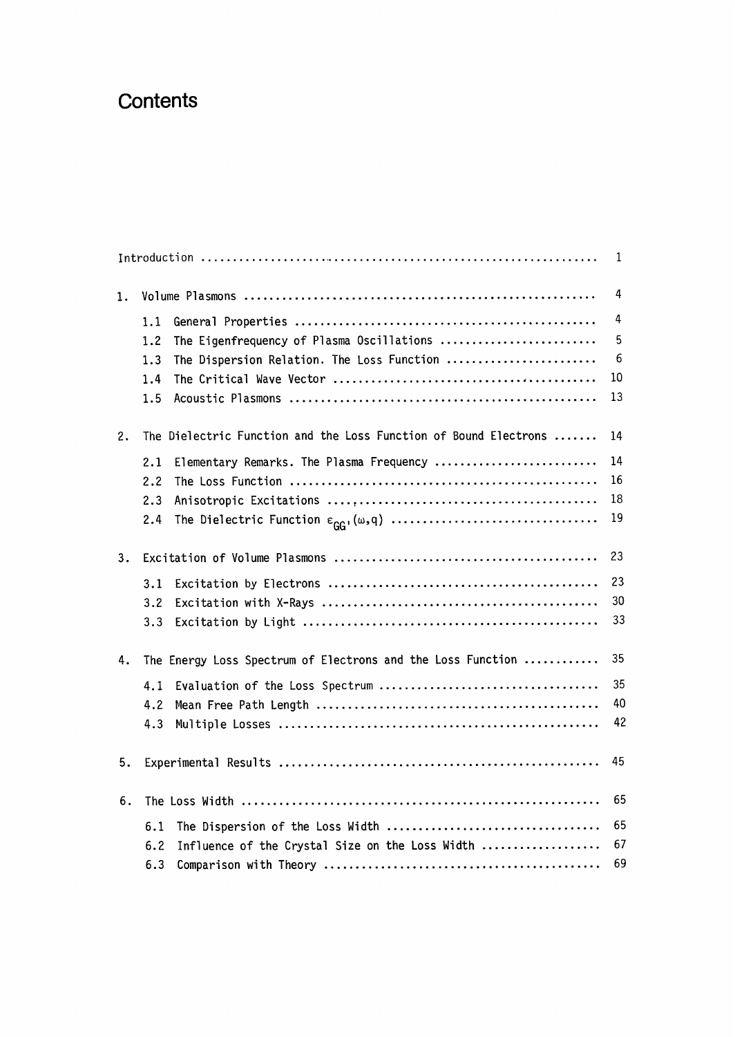## **Contents**

|    |                                                                  | 1  |
|----|------------------------------------------------------------------|----|
| 1. |                                                                  | 4  |
|    | 1.1                                                              | 4  |
|    | The Eigenfrequency of Plasma Oscillations<br>1.2                 | 5  |
|    | The Dispersion Relation. The Loss Function<br>1.3                | 6  |
|    | 1.4                                                              | 10 |
|    | 1.5                                                              | 13 |
| 2. | The Dielectric Function and the Loss Function of Bound Electrons | 14 |
|    | Elementary Remarks. The Plasma Frequency<br>2.1                  | 14 |
|    | 2.2                                                              | 16 |
|    | 2.3                                                              | 18 |
|    | 2.4                                                              | 19 |
| 3. |                                                                  | 23 |
|    | 3.1                                                              | 23 |
|    | 3.2                                                              | 30 |
|    | 3.3                                                              | 33 |
| 4. | The Energy Loss Spectrum of Electrons and the Loss Function      | 35 |
|    | 4.1                                                              | 35 |
|    | 4.2                                                              | 40 |
|    | 4.3                                                              | 42 |
| 5. |                                                                  | 45 |
| 6. |                                                                  | 65 |
|    | 6.1                                                              | 65 |
|    | Influence of the Crystal Size on the Loss Width<br>6.2           | 67 |
|    | 6.3                                                              | 69 |